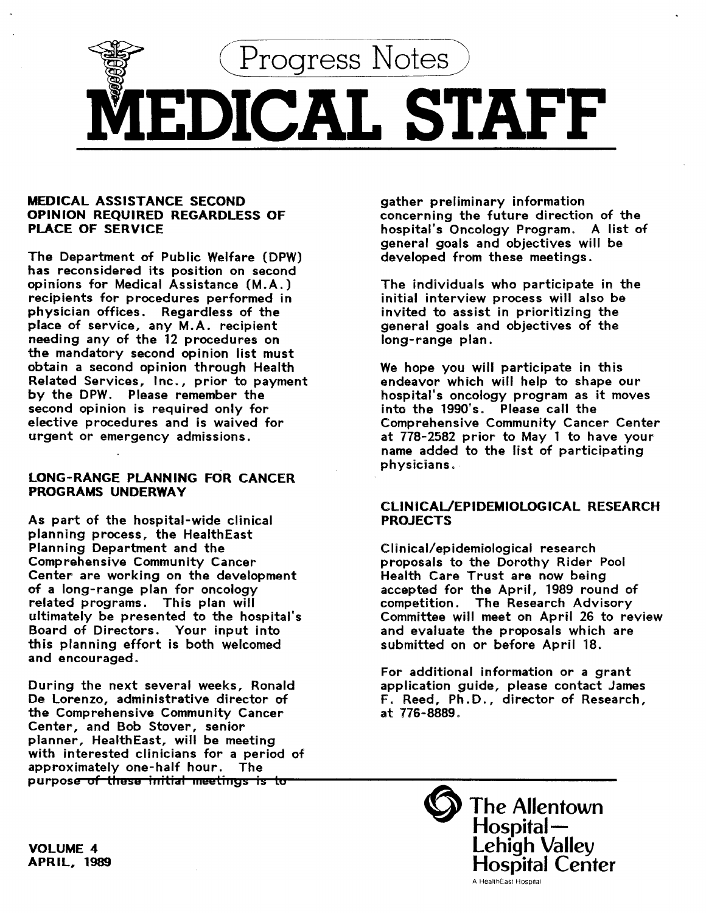

## MEDICAL ASSISTANCE SECOND OPINION REQUIRED REGARDLESS OF PLACE OF SERVICE

The Department of Public Welfare (DPW) has reconsidered its position on second opinions for Medical Assistance (M.A.) recipients for procedures performed in physician offices. Regardless of the place of service, any M.A. recipient needing any of the 12 procedures on the mandatory second opinion list must obtain a second opinion through Health Related Services, Inc., prior to payment by the DPW. Please remember the second opinion is required only for elective procedures and is waived for urgent or emergency admissions.

## LONG-RANGE PLANNING FOR CANCER PROGRAMS UNDERWAY

As part of the hospital-wide clinical planning process, the HealthEast Planning Department and the Comprehensive Community Cancer Center are working on the development of a long-range plan for oncology related programs. This plan will ultimately be presented to the hospital's Board of Directors. Your input into this planning effort is both welcomed and encouraged.

During the next several weeks, Ronald De lorenzo, administrative director of the Comprehensive Community Cancer Center, and Bob Stover, senior planner, Health East, will be meeting with interested clinicians for a period of approximately one-half hour. The purpose of these initial meetings is to

gather preliminary information concerning the future direction of the hospital's Oncology Program. A list of general goals and objectives will be developed from these meetings.

The individuals who participate in the initial interview process will also be invited to assist in prioritizing the general goals and objectives of the long-range plan.

We hope you will participate in this endeavor which will help to shape our hospital's oncology program as it moves into the 1990's. Please call the Comprehensive Community Cancer Center at 778-2582 prior to May 1 to have your name added to the list of participating physicians.

## CUNICAUEPIDEMIOLOGICAL RESEARCH PROJECTS

Clinical/epidemiological research proposals to the Dorothy Rider Pool Health Care Trust are now being accepted for the April, 1989 round of competition. The Research Advisory Committee will meet on April 26 to review and evaluate the proposals which are submitted on or before April 18.

For additional information or a grant application guide, please contact James F. Reed, Ph.D., director of Research, at 776-8889.

> The Allentown  $\operatorname{\mathsf{Hospital}}{\overline{\mathsf{-}}}$ Lehigh Valley Hospital Center A HealthEasl Hospital

VOLUME 4 APRIL, 1989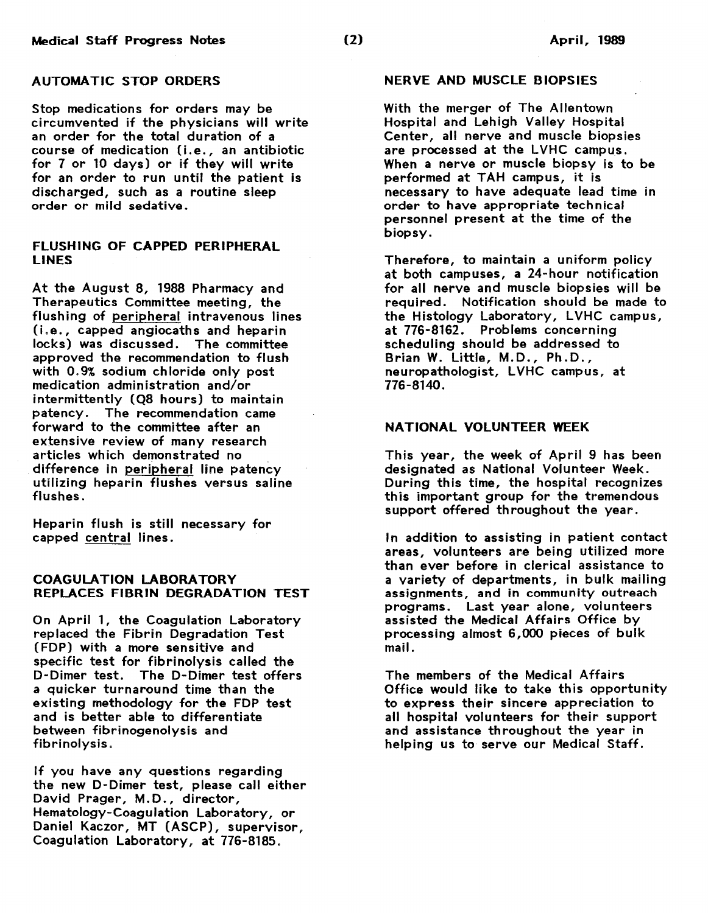# AUTOMATIC STOP ORDERS

Stop medications for orders may be circumvented if the physicians will write an order for the total duration of a course of medication (i.e., an antibiotic for 7 or 10 days) or if they will write for an order to run until the patient is discharged, such as a routine sleep order or mild sedative.

## FLUSHING OF CAPPED PERIPHERAL LINES

At the August 8, 1988 Pharmacy and Therapeutics Committee meeting, the flushing of peripheral intravenous lines (i.e., capped angiocaths and heparin locks) was discussed. The committee approved the recommendation to flush with 0. 9% sodium chloride only post medication administration and/or intermittently (Q8 hours) to maintain patency. The recommendation came forward to the committee after an extensive review of many research articles which demonstrated no difference in peripheral line patency utilizing heparin flushes versus saline flushes.

Heparin flush is still necessary for capped central lines.

## COAGULATION LABORATORY REPLACES FIBRIN DEGRADATION TEST

On April 1, the Coagulation Laboratory replaced the Fibrin Degradation Test (FOP) with a more sensitive and specific test for fibrinolysis called the D-Dimer test. The D-Dimer test offers a quicker turnaround time than the existing methodology for the FOP test and is better able to differentiate between fibrinogenolysis and fibrinolysis.

If you have any questions regarding the new D-Dimer test, please call either David Prager, M.D., director, Hematology-Coagulation Laboratory, or Daniel Kaczor, MT (ASCP), supervisor, Coagulation Laboratory, at 776-8185.

### NERVE AND MUSCLE BIOPSIES

With the merger of The Allentown Hospital and Lehigh Valley Hospital Center, all nerve and muscle biopsies are processed at the LVHC campus. When a nerve or muscle biopsy is to be performed at TAH campus, it is necessary to have adequate lead time in order to have appropriate technical personnel present at the time of the biopsy.

Therefore, to maintain a uniform policy at both campuses, a 24-hour notification for all nerve and muscle biopsies will be required. Notification should be made to the Histology Laboratory, LVHC campus, at 776-8162. Problems concerning scheduling should be addressed to Brian W. Little, M.D., Ph.D., neuropathologist, LVHC campus, at 776-8140.

### NATIONAL VOLUNTEER WEEK

This year, the week of April 9 has been designated as National Volunteer Week. During this time, the hospital recognizes this important group for the tremendous support offered throughout the year.

In addition to assisting in patient contact areas, volunteers are being utilized more than ever before in clerical assistance to a variety of departments, in bulk mailing assignments, and in community outreach programs. Last year alone, volunteers assisted the Medical Affairs Office by processing almost 6,000 pieces of bulk mail.

The members of the Medical Affairs Office would like to take this opportunity to express their sincere appreciation to all hospital volunteers for their support and assistance throughout the year in helping us to serve our Medical Staff.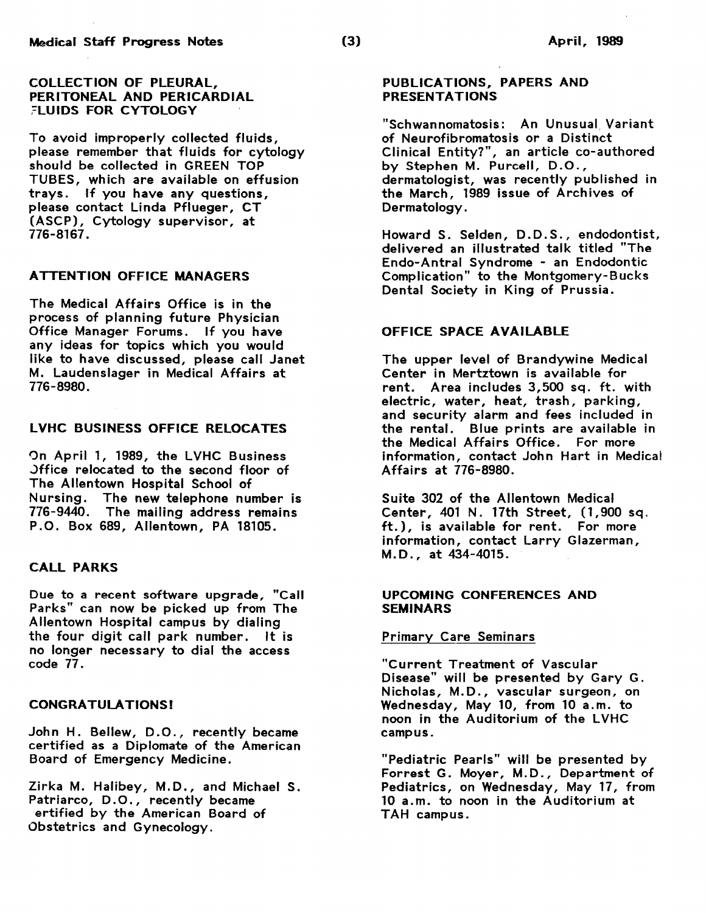#### COLLECTION OF PLEURAL, PERITONEAL AND PERICARDIAL :=LUIDS FOR CYTOLOGY

To avoid improperly collected fluids, please remember that fluids for cytology should be collected in GREEN TOP TUBES, which are available on effusion trays. If you have any questions, please contact Linda Pflueger, CT (ASCP), Cytology supervisor, at 776-8167.

## ATTENTION OFFICE MANAGERS

The Medical Affairs Office is in the process of planning future Physician Office Manager Forums. If you have any ideas for topics which you would like to have discussed, please call Janet M. Laudenslager in Medical Affairs at 776-8980.

## LVHC BUSINESS OFFICE RELOCATES

On April 1, 1989, the LVHC Business .)ffice relocated to the second floor of The Allentown Hospital School of Nursing. The new telephone number is 776-9440. The mailing address remains P.O. Box 689, Allentown, PA 18105.

## CALL PARKS

Due to a recent software upgrade, "Call Parks" can now be picked up from The Allentown Hospital campus by dialing the four digit call park number. It is no longer necessary to dial the access code 77.

## CONGRATULATIONS!

John H. Bellew, D.O., recently became certified as a Diplomate of the American Board of Emergency Medicine.

Zirka M. Halibey, M.D., and Michael S. Patriarco, D.O., recently became ertified by the American Board of Obstetrics and Gynecology.

## PUBLICATIONS, PAPERS AND PRESENTATIONS

"Schwannomatosis: An Unusual, Variant of Neurofibromatosis or a Distinct Clinical Entity?", an article co-authored by Stephen M. Purcell, D.O., dermatologist, was recently published in the March, 1989 issue of Archives of Dermatology.

Howard S. Selden, D.D.S. , endodontist, delivered an illustrated talk titled "The Endo-Antral Syndrome - an Endodontic Complication" to the Montgomery-Bucks Dental Society in King of Prussia.

## OFFICE SPACE AVAILABLE

The upper level of Brandywine Medical Center in Mertztown is available for rent. Area includes 3,500 sq. ft. with electric, water, heat, trash, parking, and security alarm and fees included in the rental. Blue prints are available in the Medical Affairs Office. For more information, contact John Hart in Medical Affairs at 776-8980.

Suite 302 of the Allentown Medical Center, 401 N. 17th Street, (1,900 sq, ft.), is available for rent. For more information, contact Larry Glazerman, M.D., at 434-4015.

## UPCOMING CONFERENCES AND **SEMINARS**

## Primary Care Seminars

"Current Treatment of Vascular Disease" will be presented by Gary G. Nicholas, M.D., vascular surgeon, on Wednesday, May 10, from 10 a.m. to noon in the Auditorium of the LVHC campus.

"Pediatric Pearls" will be presented by Forrest G. Moyer, M.D., Department of Pediatrics, on Wednesday, May 17, from 10 a.m. to noon in the Auditorium at TAH campus.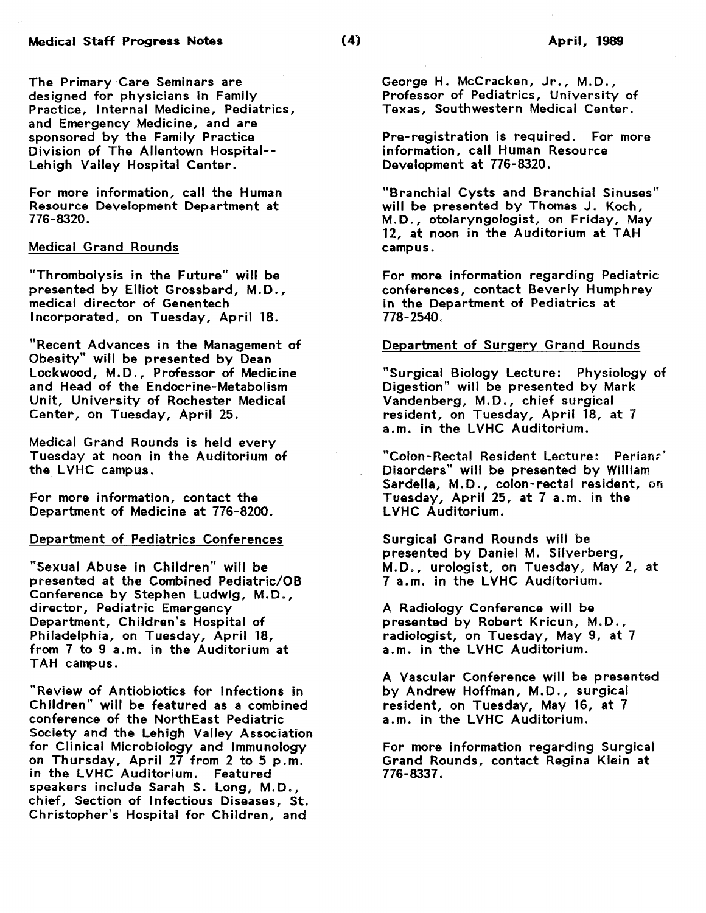The Primary Care Seminars are designed for physicians in Family Practice, Internal Medicine, Pediatrics, and Emergency Medicine, and are sponsored by the Family Practice Division of The Allentown Hospital-- Lehigh Valley Hospital Center.

For more information, call the Human Resource Development Department at 776-8320.

## Medical Grand Rounds

"Thrombolysis in the Future" will be presented by Elliot Grossbard, M.D., medical director of Genentech Incorporated, on Tuesday, April 18.

"Recent Advances in the Management of Obesity" will be presented by Dean Lockwood, M.D., Professor of Medicine and Head of the Endocrine-Metabolism Unit, University of Rochester Medical Center, on Tuesday, April 25.

Medical Grand Rounds is held every Tuesday at noon in the Auditorium of the LVHC campus.

For more information, contact the Department of Medicine at 776-8200.

## Department of Pediatrics Conferences

"Sexual Abuse in Children" will be presented at the Combined Pediatric/OB Conference by Stephen Ludwig, M.D. , director, Pediatric Emergency Department, Children's Hospital of Philadelphia, on Tuesday, April 18, from 7 to 9 a.m. in the Auditorium at TAH campus.

"Review of Antiobiotics for Infections in Children" will be featured as a combined conference of the NorthEast Pediatric Society and the Lehigh Valley Association for Clinical Microbiology and Immunology on Thursday, April 27 from 2 to 5 p.m. in the LVHC Auditorium. Featured speakers include Sarah S. Long, M.D., chief, Section of Infectious Diseases, St. Christopher's Hospital for Children, and

George H. McCracken, Jr., M.D., Professor of Pediatrics, University of Texas, Southwestern Medical Center.

Pre-registration is required. For more information, call Human Resource Development at 776-8320.

"Branchial Cysts and Branchial Sinuses" will be presented by Thomas J. Koch, M.D., otolaryngologist, on Friday, May 12, at noon in the Auditorium at TAH campus.

For more information regarding Pediatric conferences, contact Beverly Humphrey in the Department of Pediatrics at 778-2540.

#### Department of Surgery Grand Rounds

"Surgical Biology Lecture: Physiology of Digestion" will be presented by Mark Vandenberg, M.D., chief surgical resident, on Tuesday, April 18, at 7 a.m. in the LVHC Auditorium.

"Colon-Rectal Resident Lecture: Perianr-' Disorders" will be presented by William Sardella, M.D., colon-rectal resident, on Tuesday, April 25, at 7 a.m. in the LVHC Auditorium.

Surgical Grand Rounds will be presented by Daniel M. Silverberg, M.D., urologist, on Tuesday, May 2, at 7 a.m. in the LVHC Auditorium.

A Radiology Conference will be presented by Robert Kricun, M.D., radiologist, on Tuesday, May 9, at 7 a.m. in the LVHC Auditorium.

A Vascular Conference will be presented by Andrew Hoffman, M.D., surgical resident, on Tuesday, May 16, at 7 a.m. in the LVHC Auditorium.

For more information regarding Surgical Grand Rounds, contact Regina Klein at 776-8337.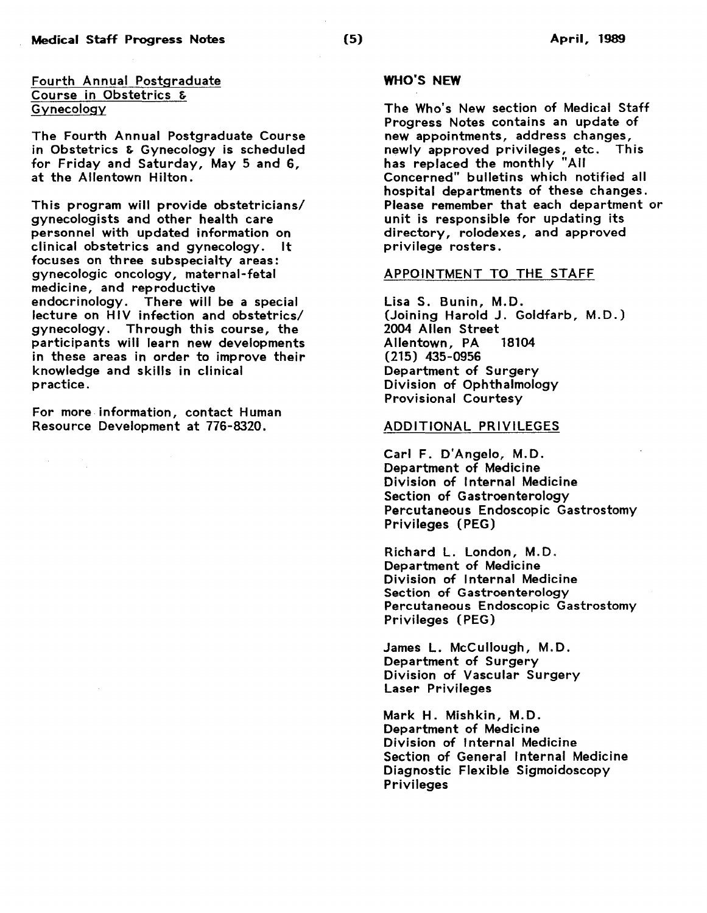Fourth Annual Postgraduate Course in Obstetrics & **Gynecology** 

The Fourth Annual Postgraduate Course in Obstetrics & Gynecology is scheduled for Friday and Saturday, May 5 and 6, at the Allentown Hilton.

This program will provide obstetricians/ gynecologists and other health care personnel with updated information on clinical obstetrics and gynecology. It focuses on three subspecialty areas: gynecologic oncology, maternal-fetal medicine, and reproductive endocrinology. There will be a special lecture on HIV infection and obstetrics/ gynecology. Through this course, the participants will learn new developments in these areas in order to improve their knowledge and skills in clinical practice.

For more information, contact Human Resource Development at 776-8320.

### WHO"S NEW

The Who's New section of Medical Staff Progress Notes contains an update of new appointments, address changes, newly approved privileges, etc. This has replaced the monthly "All Concerned" bulletins which notified all hospital departments of these changes. Please remember that each department or unit is responsible for updating its directory, rolodexes, and approved privilege rosters.

#### APPOINTMENT TO THE STAFF

Lisa S. Bunin, M.D. (Joining Harold J. Goldfarb, M.D.) 2004 Allen Street<br>Allentown PA 18104 Allentown, PA (215) 435-0956 Department of Surgery Division of Ophthalmology Provisional Courtesy

#### ADDITIONAL PRIVILEGES

Carl F. D'Angelo, M.D. Department of Medicine Division of Internal Medicine Section of Gastroenterology Percutaneous Endoscopic Gastrostomy Privileges (PEG)

Richard L. London, M.D. Department of Medicine Division of Internal Medicine Section of Gastroenterology Percutaneous Endoscopic Gastrostomy Privileges (PEG)

James L. McCullough, M.D. Department of Surgery Division of Vascular Surgery Laser Privileges

Mark H. Mishkin, M.D. Department of Medicine Division of Internal Medicine Section of General Internal Medicine Diagnostic Flexible Sigmoidoscopy Privileges